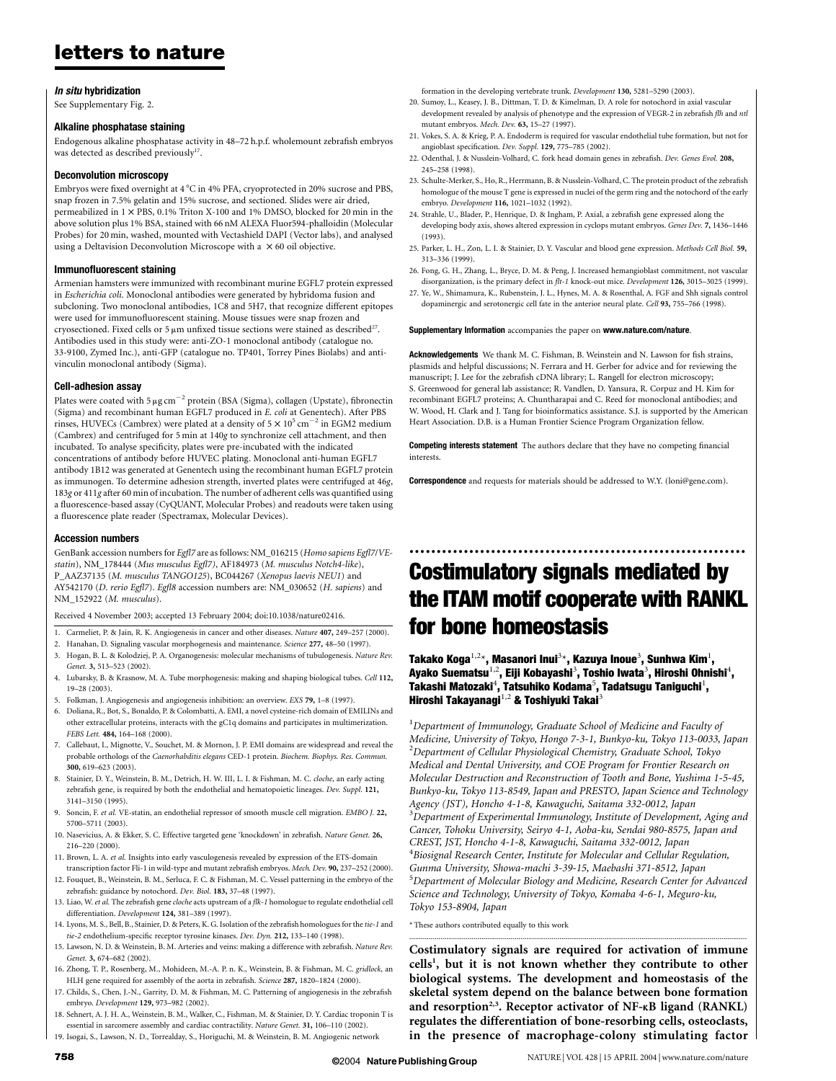## In situ hybridization

See Supplementary Fig. 2.

## Alkaline phosphatase staining

Endogenous alkaline phosphatase activity in 48–72 h.p.f. wholemount zebrafish embryos was detected as described previously<sup>17</sup>.

## Deconvolution microscopy

Embryos were fixed overnight at 4  $^{\circ}$ C in 4% PFA, cryoprotected in 20% sucrose and PBS, snap frozen in 7.5% gelatin and 15% sucrose, and sectioned. Slides were air dried, permeabilized in  $1 \times$  PBS, 0.1% Triton X-100 and 1% DMSO, blocked for 20 min in the above solution plus 1% BSA, stained with 66 nM ALEXA Fluor594-phalloidin (Molecular Probes) for 20 min, washed, mounted with Vectashield DAPI (Vector labs), and analysed using a Deltavision Deconvolution Microscope with a  $\times$  60 oil objective.

## Immunofluorescent staining

Armenian hamsters were immunized with recombinant murine EGFL7 protein expressed in Escherichia coli. Monoclonal antibodies were generated by hybridoma fusion and subcloning. Two monoclonal antibodies, 1C8 and 5H7, that recognize different epitopes were used for immunofluorescent staining. Mouse tissues were snap frozen and cryosectioned. Fixed cells or 5  $\mu$ m unfixed tissue sections were stained as described<sup>27</sup>. Antibodies used in this study were: anti-ZO-1 monoclonal antibody (catalogue no. 33-9100, Zymed Inc.), anti-GFP (catalogue no. TP401, Torrey Pines Biolabs) and antivinculin monoclonal antibody (Sigma).

## Cell-adhesion assay

Plates were coated with 5  $\mu$ g cm<sup>-2</sup> protein (BSA (Sigma), collagen (Upstate), fibronectin (Sigma) and recombinant human EGFL7 produced in E. coli at Genentech). After PBS rinses, HUVECs (Cambrex) were plated at a density of  $5 \times 10^5$  cm<sup>-2</sup> in EGM2 medium (Cambrex) and centrifuged for 5 min at 140g to synchronize cell attachment, and then incubated. To analyse specificity, plates were pre-incubated with the indicated concentrations of antibody before HUVEC plating. Monoclonal anti-human EGFL7 antibody 1B12 was generated at Genentech using the recombinant human EGFL7 protein as immunogen. To determine adhesion strength, inverted plates were centrifuged at 46g, 183g or 411g after 60 min of incubation. The number of adherent cells was quantified using a fluorescence-based assay (CyQUANT, Molecular Probes) and readouts were taken using a fluorescence plate reader (Spectramax, Molecular Devices).

#### Accession numbers

GenBank accession numbers for Egfl7 are as follows: NM\_016215 (Homo sapiens Egfl7/VEstatin), NM\_178444 (Mus musculus Egfl7), AF184973 (M. musculus Notch4-like), P\_AAZ37135 (M. musculus TANGO125), BC044267 (Xenopus laevis NEU1) and AY542170 (D. rerio Egfl7). Egfl8 accession numbers are: NM\_030652 (H. sapiens) and NM\_152922 (M. musculus).

Received 4 November 2003; accepted 13 February 2004; doi:10.1038/nature02416.

- 1. Carmeliet, P. & Jain, R. K. Angiogenesis in cancer and other diseases. Nature 407, 249–257 (2000).
- 2. Hanahan, D. Signaling vascular morphogenesis and maintenance. Science 277, 48–50 (1997).
- 3. Hogan, B. L. & Kolodziej, P. A. Organogenesis: molecular mechanisms of tubulogenesis. Nature Rev. Genet. 3, 513–523 (2002).
- 4. Lubarsky, B. & Krasnow, M. A. Tube morphogenesis: making and shaping biological tubes. Cell 112, 19–28 (2003).
- 5. Folkman, J. Angiogenesis and angiogenesis inhibition: an overview. EXS 79, 1–8 (1997).
- 6. Doliana, R., Bot, S., Bonaldo, P. & Colombatti, A. EMI, a novel cysteine-rich domain of EMILINs and other extracellular proteins, interacts with the gC1q domains and participates in multimerization. FEBS Lett. 484, 164–168 (2000).
- 7. Callebaut, I., Mignotte, V., Souchet, M. & Mornon, J. P. EMI domains are widespread and reveal the probable orthologs of the Caenorhabditis elegans CED-1 protein. Biochem. Biophys. Res. Commun. 300, 619–623 (2003).
- 8. Stainier, D. Y., Weinstein, B. M., Detrich, H. W. III, L. I. & Fishman, M. C. cloche, an early acting zebrafish gene, is required by both the endothelial and hematopoietic lineages. Dev. Suppl. 121, 3141–3150 (1995).
- 9. Soncin, F. et al. VE-statin, an endothelial repressor of smooth muscle cell migration. EMBO J. 22, 5700–5711 (2003).
- 10. Nasevicius, A. & Ekker, S. C. Effective targeted gene 'knockdown' in zebrafish. Nature Genet. 26, 216–220 (2000).
- 11. Brown, L. A. et al. Insights into early vasculogenesis revealed by expression of the ETS-domain transcription factor Fli-1 in wild-type and mutant zebrafish embryos. Mech. Dev. 90, 237–252 (2000).
- 12. Fouquet, B., Weinstein, B. M., Serluca, F. C. & Fishman, M. C. Vessel patterning in the embryo of the zebrafish: guidance by notochord. Dev. Biol. 183, 37–48 (1997).
- 13. Liao, W. et al. The zebrafish gene cloche acts upstream of a flk-1 homologue to regulate endothelial cell differentiation. Development 124, 381–389 (1997).
- 14. Lyons, M. S., Bell, B., Stainier, D. & Peters, K. G. Isolation of the zebrafish homologues for the tie-1 and tie-2 endothelium-specific receptor tyrosine kinases. Dev. Dyn. 212, 133-140 (1998)
- 15. Lawson, N. D. & Weinstein, B. M. Arteries and veins: making a difference with zebrafish. Nature Rev. Genet. 3, 674–682 (2002).
- 16. Zhong, T. P., Rosenberg, M., Mohideen, M.-A. P. n. K., Weinstein, B. & Fishman, M. C. gridlock, an HLH gene required for assembly of the aorta in zebrafish. Science 287, 1820–1824 (2000).
- 17. Childs, S., Chen, J.-N., Garrity, D. M. & Fishman, M. C. Patterning of angiogenesis in the zebrafish embryo. Development 129, 973–982 (2002).
- 18. Sehnert, A. J. H. A., Weinstein, B. M., Walker, C., Fishman, M. & Stainier, D. Y. Cardiac troponin T is essential in sarcomere assembly and cardiac contractility. Nature Genet. 31, 106–110 (2002).
- 19. Isogai, S., Lawson, N. D., Torrealday, S., Horiguchi, M. & Weinstein, B. M. Angiogenic network

formation in the developing vertebrate trunk. Development 130, 5281–5290 (2003).

- 20. Sumoy, L., Keasey, J. B., Dittman, T. D. & Kimelman, D. A role for notochord in axial vascular development revealed by analysis of phenotype and the expression of VEGR-2 in zebrafish flh and ntl mutant embryos. Mech. Dev. 63, 15–27 (1997).
- 21. Vokes, S. A. & Krieg, P. A. Endoderm is required for vascular endothelial tube formation, but not for angioblast specification. Dev. Suppl. 129, 775–785 (2002).
- 22. Odenthal, J. & Nusslein-Volhard, C. fork head domain genes in zebrafish. Dev. Genes Evol. 208, 245–258 (1998).
- 23. Schulte-Merker, S., Ho, R., Herrmann, B. & Nusslein-Volhard, C. The protein product of the zebrafish homologue of the mouse T gene is expressed in nuclei of the germ ring and the notochord of the early embryo. Development 116, 1021–1032 (1992).
- 24. Strahle, U., Blader, P., Henrique, D. & Ingham, P. Axial, a zebrafish gene expressed along the developing body axis, shows altered expression in cyclops mutant embryos. Genes Dev. 7, 1436–1446 (1993).
- 25. Parker, L. H., Zon, L. I. & Stainier, D. Y. Vascular and blood gene expression. Methods Cell Biol. 59, 313–336 (1999).
- 26. Fong, G. H., Zhang, L., Bryce, D. M. & Peng, J. Increased hemangioblast commitment, not vascular disorganization, is the primary defect in flt-1 knock-out mice. Development 126, 3015–3025 (1999). 27. Ye, W., Shimamura, K., Rubenstein, J. L., Hynes, M. A. & Rosenthal, A. FGF and Shh signals control
- dopaminergic and serotonergic cell fate in the anterior neural plate. Cell 93, 755–766 (1998).

#### Supplementary Information accompanies the paper on www.nature.com/nature

Acknowledgements We thank M. C. Fishman, B. Weinstein and N. Lawson for fish strains, plasmids and helpful discussions; N. Ferrara and H. Gerber for advice and for reviewing the manuscript; J. Lee for the zebrafish cDNA library; L. Rangell for electron microscopy; S. Greenwood for general lab assistance; R. Vandlen, D. Yansura, R. Corpuz and H. Kim for recombinant EGFL7 proteins; A. Chuntharapai and C. Reed for monoclonal antibodies; and W. Wood, H. Clark and J. Tang for bioinformatics assistance. S.J. is supported by the American Heart Association. D.B. is a Human Frontier Science Program Organization fellow.

Competing interests statement The authors declare that they have no competing financial interests.

Correspondence and requests for materials should be addressed to W.Y. (loni@gene.com).

# Costimulatory signals mediated by the ITAM motif cooperate with RANKL for bone homeostasis

..............................................................

Takako Koga $^{1,2\star}$ , Masanori Inui $^{3\star}$ , Kazuya Inoue $^3$ , Sunhwa Kim $^1$ , Ayako Suematsu $^{1,2}$ , Eiji Kobayashi $^3$ , Toshio Iwata $^3$ , Hiroshi Ohnishi $^4$ , Takashi Matozaki $^4$ , Tatsuhiko Kodama $^5$ , Tadatsugu Taniguchi $^1\!,$ Hiroshi Takayanagi $^{1,2}$  & Toshiyuki Takai $^3$ 

 ${}^{1}$ Department of Immunology, Graduate School of Medicine and Faculty of Medicine, University of Tokyo, Hongo 7-3-1, Bunkyo-ku, Tokyo 113-0033, Japan 2 Department of Cellular Physiological Chemistry, Graduate School, Tokyo Medical and Dental University, and COE Program for Frontier Research on Molecular Destruction and Reconstruction of Tooth and Bone, Yushima 1-5-45, Bunkyo-ku, Tokyo 113-8549, Japan and PRESTO, Japan Science and Technology Agency (JST), Honcho 4-1-8, Kawaguchi, Saitama 332-0012, Japan  $^3$ Department of Experimental Immunology, Institute of Development, Aging and Cancer, Tohoku University, Seiryo 4-1, Aoba-ku, Sendai 980-8575, Japan and CREST, JST, Honcho 4-1-8, Kawaguchi, Saitama 332-0012, Japan 4 Biosignal Research Center, Institute for Molecular and Cellular Regulation, Gunma University, Showa-machi 3-39-15, Maebashi 371-8512, Japan <sup>5</sup>Department of Molecular Biology and Medicine, Research Center for Advanced Science and Technology, University of Tokyo, Komaba 4-6-1, Meguro-ku, Tokyo 153-8904, Japan

\* These authors contributed equally to this work

Costimulatory signals are required for activation of immune cells<sup>1</sup>, but it is not known whether they contribute to other biological systems. The development and homeostasis of the skeletal system depend on the balance between bone formation and resorption<sup>2,3</sup>. Receptor activator of NF-KB ligand (RANKL) regulates the differentiation of bone-resorbing cells, osteoclasts, in the presence of macrophage-colony stimulating factor

.............................................................................................................................................................................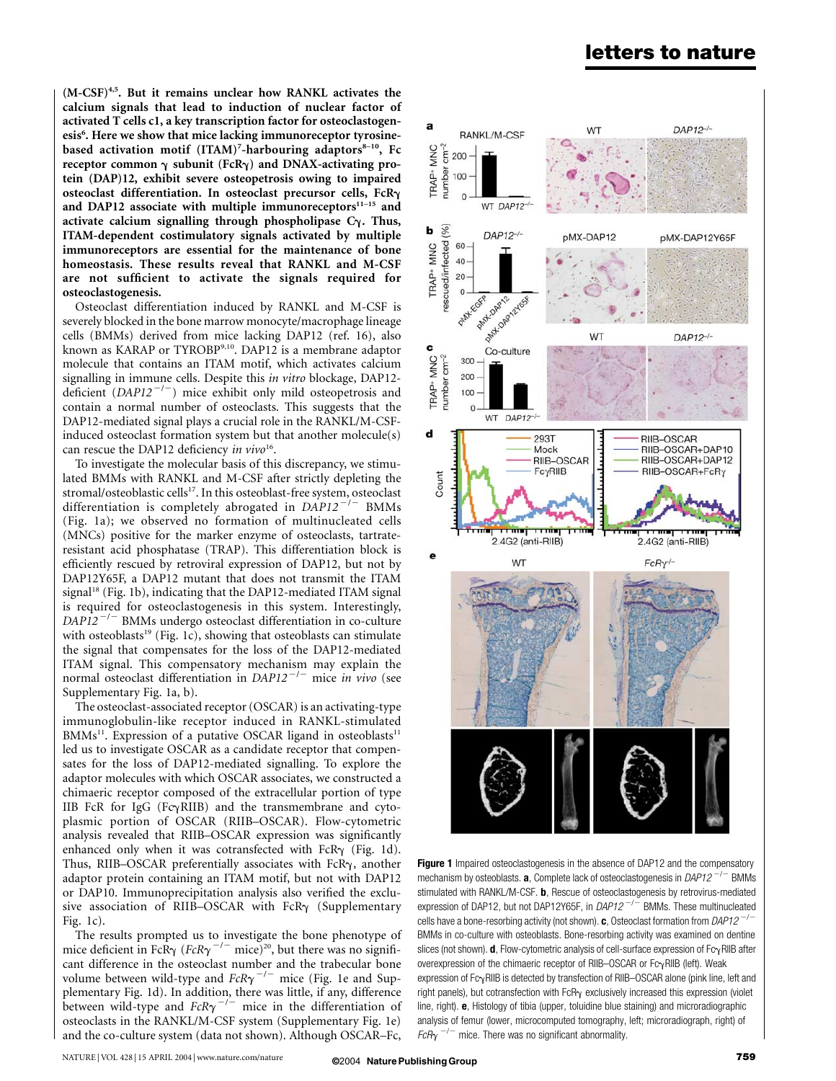$(M-CSF)^{4,5}$ . But it remains unclear how RANKL activates the calcium signals that lead to induction of nuclear factor of activated T cells c1, a key transcription factor for osteoclastogenesis<sup>6</sup>. Here we show that mice lacking immunoreceptor tyrosinebased activation motif (ITAM)<sup>7</sup>-harbouring adaptors<sup>8-10</sup>, Fc receptor common  $\gamma$  subunit (FcR $\gamma$ ) and DNAX-activating protein (DAP)12, exhibit severe osteopetrosis owing to impaired osteoclast differentiation. In osteoclast precursor cells,  $FcR<sub>\gamma</sub>$ and DAP12 associate with multiple immunoreceptors $11-15$  and activate calcium signalling through phospholipase  $C_{\gamma}$ . Thus, ITAM-dependent costimulatory signals activated by multiple immunoreceptors are essential for the maintenance of bone homeostasis. These results reveal that RANKL and M-CSF are not sufficient to activate the signals required for osteoclastogenesis.

Osteoclast differentiation induced by RANKL and M-CSF is severely blocked in the bone marrow monocyte/macrophage lineage cells (BMMs) derived from mice lacking DAP12 (ref. 16), also known as KARAP or TYROBP9,10. DAP12 is a membrane adaptor molecule that contains an ITAM motif, which activates calcium signalling in immune cells. Despite this in vitro blockage, DAP12 deficient  $(DAPI2^{-/-})$  mice exhibit only mild osteopetrosis and contain a normal number of osteoclasts. This suggests that the DAP12-mediated signal plays a crucial role in the RANKL/M-CSFinduced osteoclast formation system but that another molecule(s) can rescue the DAP12 deficiency in  $vivo^{16}$ .

To investigate the molecular basis of this discrepancy, we stimulated BMMs with RANKL and M-CSF after strictly depleting the stromal/osteoblastic cells<sup>17</sup>. In this osteoblast-free system, osteoclast differentiation is completely abrogated in  $DAPI2^{-/-}$  BMMs (Fig. 1a); we observed no formation of multinucleated cells (MNCs) positive for the marker enzyme of osteoclasts, tartrateresistant acid phosphatase (TRAP). This differentiation block is efficiently rescued by retroviral expression of DAP12, but not by DAP12Y65F, a DAP12 mutant that does not transmit the ITAM signal<sup>18</sup> (Fig. 1b), indicating that the DAP12-mediated ITAM signal is required for osteoclastogenesis in this system. Interestingly,  $DAP12^{-/-}$  BMMs undergo osteoclast differentiation in co-culture with osteoblasts<sup>19</sup> (Fig. 1c), showing that osteoblasts can stimulate the signal that compensates for the loss of the DAP12-mediated ITAM signal. This compensatory mechanism may explain the normal osteoclast differentiation in  $DAPI2^{-/-}$  mice in vivo (see Supplementary Fig. 1a, b).

The osteoclast-associated receptor (OSCAR) is an activating-type immunoglobulin-like receptor induced in RANKL-stimulated  $BMMs<sup>11</sup>$ . Expression of a putative OSCAR ligand in osteoblasts<sup>11</sup> led us to investigate OSCAR as a candidate receptor that compensates for the loss of DAP12-mediated signalling. To explore the adaptor molecules with which OSCAR associates, we constructed a chimaeric receptor composed of the extracellular portion of type IIB FcR for IgG (Fc $\gamma$ RIIB) and the transmembrane and cytoplasmic portion of OSCAR (RIIB–OSCAR). Flow-cytometric analysis revealed that RIIB–OSCAR expression was significantly enhanced only when it was cotransfected with FcR $\gamma$  (Fig. 1d). Thus, RIIB-OSCAR preferentially associates with FcR $\gamma$ , another adaptor protein containing an ITAM motif, but not with DAP12 or DAP10. Immunoprecipitation analysis also verified the exclusive association of RIIB-OSCAR with FcR $\gamma$  (Supplementary Fig. 1c).

The results prompted us to investigate the bone phenotype of mice deficient in FcR $\gamma$  (FcR $\gamma^{-/-}$  mice)<sup>20</sup>, but there was no significant difference in the osteoclast number and the trabecular bone volume between wild-type and  $FcR\gamma^{-/-}$  mice (Fig. 1e and Supplementary Fig. 1d). In addition, there was little, if any, difference between wild-type and  $FcR\gamma^{-/-}$  mice in the differentiation of osteoclasts in the RANKL/M-CSF system (Supplementary Fig. 1e) and the co-culture system (data not shown). Although OSCAR–Fc,



Figure 1 Impaired osteoclastogenesis in the absence of DAP12 and the compensatory mechanism by osteoblasts. **a**, Complete lack of osteoclastogenesis in  $DAP12^{-/-}$  BMMs stimulated with RANKL/M-CSF. **b**, Rescue of osteoclastogenesis by retrovirus-mediated expression of DAP12, but not DAP12Y65F, in  $DAP12^{-/-}$  BMMs. These multinucleated cells have a bone-resorbing activity (not shown). c, Osteoclast formation from DAP12<sup>-/-</sup> BMMs in co-culture with osteoblasts. Bone-resorbing activity was examined on dentine slices (not shown).  $d$ , Flow-cytometric analysis of cell-surface expression of Fc $\gamma$ RIIB after overexpression of the chimaeric receptor of RIIB-OSCAR or  $Fc<sub>Y</sub>RIIB$  (left). Weak expression of  $Fc<sub>Y</sub>RIIB$  is detected by transfection of RIIB–OSCAR alone (pink line, left and right panels), but cotransfection with  $FcR<sub>Y</sub>$  exclusively increased this expression (violet line, right). e, Histology of tibia (upper, toluidine blue staining) and microradiographic analysis of femur (lower, microcomputed tomography, left; microradiograph, right) of  $FcR\gamma$ <sup>-/-</sup> mice. There was no significant abnormality.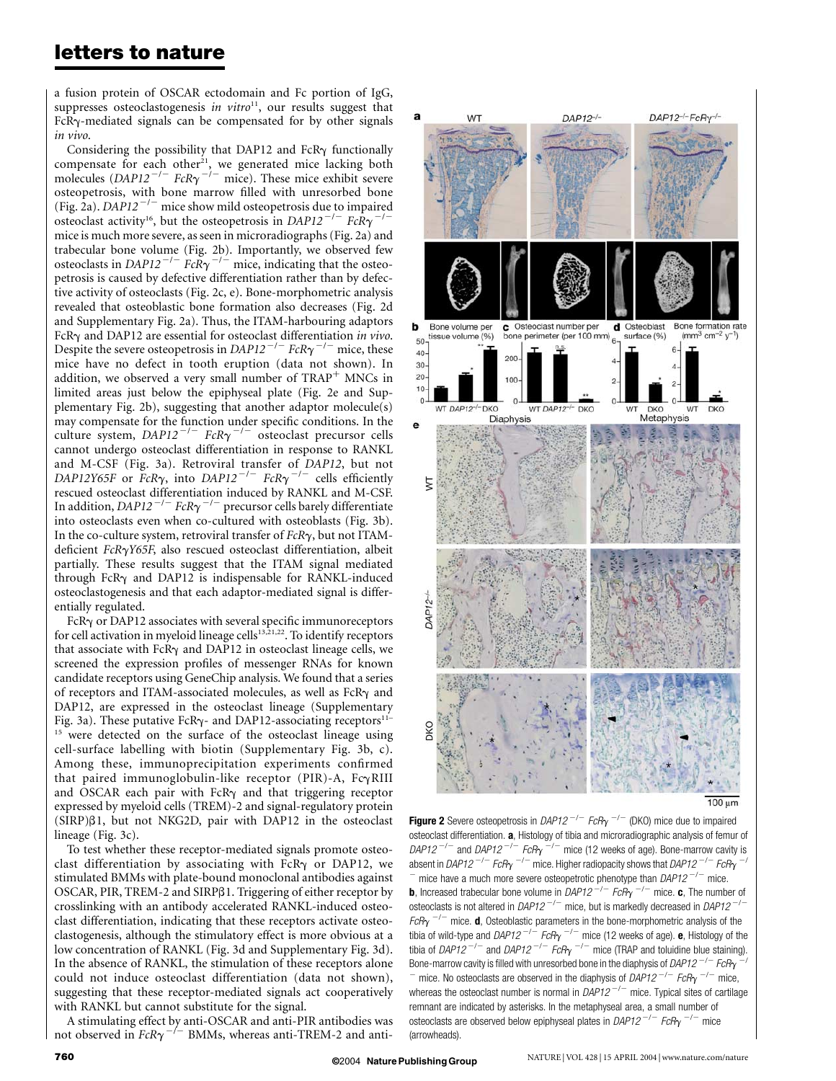a fusion protein of OSCAR ectodomain and Fc portion of IgG, suppresses osteoclastogenesis in vitro<sup>11</sup>, our results suggest that  $FcR<sub>Y</sub>$ -mediated signals can be compensated for by other signals in vivo.

Considering the possibility that DAP12 and FcR $\gamma$  functionally compensate for each other<sup>21</sup>, we generated mice lacking both molecules  $(DAPI2^{-/-}$  FcR $\gamma$ <sup>-/-</sup> mice). These mice exhibit severe osteopetrosis, with bone marrow filled with unresorbed bone (Fig. 2a). DAP12<sup> $-/-$ </sup> mice show mild osteopetrosis due to impaired osteoclast activity<sup>16</sup>, but the osteopetrosis in DAP12<sup>-/-</sup> FcR $\gamma$ <sup>-/-</sup> mice is much more severe, as seen in microradiographs (Fig. 2a) and trabecular bone volume (Fig. 2b). Importantly, we observed few osteoclasts in  $DAPI2^{-/-}$   $FcR\gamma^{-/-}$  mice, indicating that the osteopetrosis is caused by defective differentiation rather than by defective activity of osteoclasts (Fig. 2c, e). Bone-morphometric analysis revealed that osteoblastic bone formation also decreases (Fig. 2d and Supplementary Fig. 2a). Thus, the ITAM-harbouring adaptors FcR $\gamma$  and DAP12 are essential for osteoclast differentiation in vivo. Despite the severe osteopetrosis in DAP12<sup>-/-</sup> FcR $\gamma$ <sup>-/-</sup> mice, these mice have no defect in tooth eruption (data not shown). In addition, we observed a very small number of  $TRAP<sup>+</sup>$  MNCs in limited areas just below the epiphyseal plate (Fig. 2e and Supplementary Fig. 2b), suggesting that another adaptor molecule(s) may compensate for the function under specific conditions. In the culture system,  $DAP12^{-/-}$  FcR $\gamma^{-/-}$  osteoclast precursor cells cannot undergo osteoclast differentiation in response to RANKL and M-CSF (Fig. 3a). Retroviral transfer of DAP12, but not DAP12Y65F or FcR $\gamma$ , into DAP12<sup>-/-</sup> FcR $\gamma$ <sup>-/-</sup> cells efficiently rescued osteoclast differentiation induced by RANKL and M-CSF. In addition, DAP12<sup>-/-</sup> FcR $\gamma$ <sup>-/-</sup> precursor cells barely differentiate into osteoclasts even when co-cultured with osteoblasts (Fig. 3b). In the co-culture system, retroviral transfer of  $FcR\gamma$ , but not ITAMdeficient  $FcR\gamma Y65F$ , also rescued osteoclast differentiation, albeit partially. These results suggest that the ITAM signal mediated through  $FcR<sub>Y</sub>$  and DAP12 is indispensable for RANKL-induced osteoclastogenesis and that each adaptor-mediated signal is differentially regulated.

 $FcR<sub>Y</sub>$  or DAP12 associates with several specific immunoreceptors for cell activation in myeloid lineage cells<sup>13,21,22</sup>. To identify receptors that associate with FcR $\gamma$  and DAP12 in osteoclast lineage cells, we screened the expression profiles of messenger RNAs for known candidate receptors using GeneChip analysis. We found that a series of receptors and ITAM-associated molecules, as well as FcR $\gamma$  and DAP12, are expressed in the osteoclast lineage (Supplementary Fig. 3a). These putative FcR $\gamma$ - and DAP12-associating receptors<sup>11–</sup> <sup>15</sup> were detected on the surface of the osteoclast lineage using cell-surface labelling with biotin (Supplementary Fig. 3b, c). Among these, immunoprecipitation experiments confirmed that paired immunoglobulin-like receptor (PIR)-A,  $Fc\gamma RIII$ and OSCAR each pair with FcR $\gamma$  and that triggering receptor expressed by myeloid cells (TREM)-2 and signal-regulatory protein  $(SIRP)\beta1$ , but not NKG2D, pair with DAP12 in the osteoclast lineage (Fig. 3c).

To test whether these receptor-mediated signals promote osteoclast differentiation by associating with FcR $\gamma$  or DAP12, we stimulated BMMs with plate-bound monoclonal antibodies against OSCAR, PIR, TREM-2 and SIRPß1. Triggering of either receptor by crosslinking with an antibody accelerated RANKL-induced osteoclast differentiation, indicating that these receptors activate osteoclastogenesis, although the stimulatory effect is more obvious at a low concentration of RANKL (Fig. 3d and Supplementary Fig. 3d). In the absence of RANKL, the stimulation of these receptors alone could not induce osteoclast differentiation (data not shown), suggesting that these receptor-mediated signals act cooperatively with RANKL but cannot substitute for the signal.

A stimulating effect by anti-OSCAR and anti-PIR antibodies was not observed in  $FcR\gamma$ <sup>-/-</sup> BMMs, whereas anti-TREM-2 and anti-



**Figure 2** Severe osteopetrosis in DAP12<sup>-/-</sup> FcP<sub>Y</sub><sup>-/-</sup> (DKO) mice due to impaired osteoclast differentiation. a, Histology of tibia and microradiographic analysis of femur of DAP12<sup>-/-</sup> and DAP12<sup>-/-</sup> FcR $\gamma$ <sup>-/-</sup> mice (12 weeks of age). Bone-marrow cavity is absent in *DAP12*  $^{-/-}$  *FcR*y  $^{-/-}$  mice. Higher radiopacity shows that *DAP12*  $^{-/-}$  *FcR*y  $^{-/}$ mice have a much more severe osteopetrotic phenotype than  $DAP12^{-/-}$  mice. **b**, Increased trabecular bone volume in DAP12<sup>-/-</sup> FcR $\gamma$ <sup>-/-</sup> mice. c, The number of osteoclasts is not altered in DAP12<sup>-/-</sup> mice, but is markedly decreased in DAP12<sup>-/-</sup>  $FcRy$ <sup>-/-</sup> mice. **d**, Osteoblastic parameters in the bone-morphometric analysis of the tibia of wild-type and DAP12<sup>-/-</sup> FcRy <sup>-/-</sup> mice (12 weeks of age). **e**, Histology of the tibia of DAP12<sup>-/-</sup> and DAP12<sup>-/-</sup> FcR<sub>Y</sub><sup>-/-</sup> mice (TRAP and toluidine blue staining). Bone-marrow cavity is filled with unresorbed bone in the diaphysis of DAP12<sup>-/-</sup> FcR<sub>Y</sub> <sup>-</sup> mice. No osteoclasts are observed in the diaphysis of *DAP12<sup>-/-</sup> FcR* $\gamma$ <sup>-/-</sup> mice, whereas the osteoclast number is normal in  $DAP12^{-/-}$  mice. Typical sites of cartilage remnant are indicated by asterisks. In the metaphyseal area, a small number of osteoclasts are observed below epiphyseal plates in DAP12<sup>-/-</sup> FcR $\gamma$ <sup>-/-</sup> mice (arrowheads).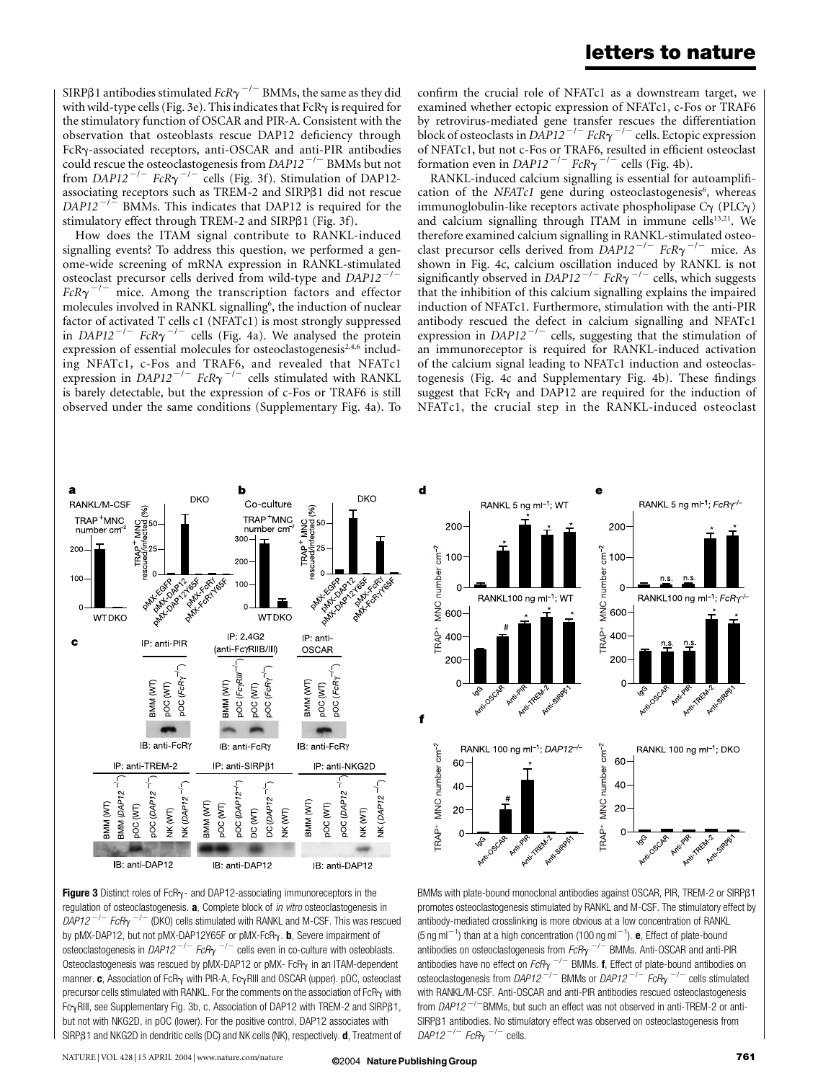SIRP $\beta$ 1 antibodies stimulated  $\mathit{FcR}\gamma^{-/-}$  BMMs, the same as they did with wild-type cells (Fig. 3e). This indicates that FcR $\gamma$  is required for the stimulatory function of OSCAR and PIR-A. Consistent with the observation that osteoblasts rescue DAP12 deficiency through FcRg-associated receptors, anti-OSCAR and anti-PIR antibodies could rescue the osteoclastogenesis from  $DAPI2^{-/-}$  BMMs but not from DAP12<sup>-/-</sup> FcR $\gamma$ <sup>-/-</sup> cells (Fig. 3f). Stimulation of DAP12associating receptors such as TREM-2 and SIRPß1 did not rescue  $DAPI2^{-/-}$  BMMs. This indicates that DAP12 is required for the stimulatory effect through TREM-2 and SIRP $\beta$ 1 (Fig. 3f).

How does the ITAM signal contribute to RANKL-induced signalling events? To address this question, we performed a genome-wide screening of mRNA expression in RANKL-stimulated osteoclast precursor cells derived from wild-type and  $DAPI2^{-1}$  $FcR\gamma$ <sup>-/-</sup> mice. Among the transcription factors and effector molecules involved in RANKL signalling<sup>6</sup>, the induction of nuclear factor of activated T cells c1 (NFATc1) is most strongly suppressed in DAP12<sup>-/-</sup> FcR $\gamma$ <sup>-/-</sup> cells (Fig. 4a). We analysed the protein expression of essential molecules for osteoclastogenesis<sup>2,4,6</sup> including NFATc1, c-Fos and TRAF6, and revealed that NFATc1 expression in DAP12<sup>-/-</sup> FcR $\gamma$ <sup>-/-</sup> cells stimulated with RANKL is barely detectable, but the expression of c-Fos or TRAF6 is still observed under the same conditions (Supplementary Fig. 4a). To

confirm the crucial role of NFATc1 as a downstream target, we examined whether ectopic expression of NFATc1, c-Fos or TRAF6 by retrovirus-mediated gene transfer rescues the differentiation block of osteoclasts in DAP12<sup>-/-</sup> FcR $\gamma$ <sup>-/-</sup> cells. Ectopic expression of NFATc1, but not c-Fos or TRAF6, resulted in efficient osteoclast formation even in DAP12<sup>-/-</sup> FcR $\gamma$ <sup>-/-</sup> cells (Fig. 4b).

RANKL-induced calcium signalling is essential for autoamplification of the NFATc1 gene during osteoclastogenesis<sup>6</sup>, whereas immunoglobulin-like receptors activate phospholipase  $C_{\gamma}$  (PLC $_{\gamma}$ ) and calcium signalling through ITAM in immune cells<sup>13,21</sup>. We therefore examined calcium signalling in RANKL-stimulated osteoclast precursor cells derived from  $\overline{D}AP12^{-/-}$  FcR $\gamma$ <sup>-/-</sup> mice. As shown in Fig. 4c, calcium oscillation induced by RANKL is not significantly observed in DAP12<sup>-/-</sup> FcR $\gamma$ <sup>-/-</sup> cells, which suggests that the inhibition of this calcium signalling explains the impaired induction of NFATc1. Furthermore, stimulation with the anti-PIR antibody rescued the defect in calcium signalling and NFATc1 expression in  $DAPI2^{-/-}$  cells, suggesting that the stimulation of an immunoreceptor is required for RANKL-induced activation of the calcium signal leading to NFATc1 induction and osteoclastogenesis (Fig. 4c and Supplementary Fig. 4b). These findings suggest that FcR $\gamma$  and DAP12 are required for the induction of NFATc1, the crucial step in the RANKL-induced osteoclast



Figure 3 Distinct roles of FcR $\gamma$ - and DAP12-associating immunoreceptors in the regulation of osteoclastogenesis. a, Complete block of in vitro osteoclastogenesis in  $DAP12^{-/-}$  FcR $\gamma$ <sup>-/-</sup> (DKO) cells stimulated with RANKL and M-CSF. This was rescued by pMX-DAP12, but not pMX-DAP12Y65F or pMX-FcRy. b, Severe impairment of osteoclastogenesis in DAP12<sup>-/-</sup> FcR<sub> $\gamma$ </sub><sup>-/-</sup> cells even in co-culture with osteoblasts. Osteoclastogenesis was rescued by pMX-DAP12 or pMX- FcP<sub>Y</sub> in an ITAM-dependent manner. c, Association of FcR $\gamma$  with PIR-A, Fc $\gamma$ RIII and OSCAR (upper). pOC, osteoclast precursor cells stimulated with RANKL. For the comments on the association of  $FcR<sub>Y</sub>$  with Fc $\gamma$ RIII, see Supplementary Fig. 3b, c. Association of DAP12 with TREM-2 and SIRPß1, but not with NKG2D, in pOC (lower). For the positive control, DAP12 associates with SIRP<sub>B1</sub> and NKG2D in dendritic cells (DC) and NK cells (NK), respectively. **d**, Treatment of



BMMs with plate-bound monoclonal antibodies against OSCAR, PIR, TREM-2 or SIRPß1 promotes osteoclastogenesis stimulated by RANKL and M-CSF. The stimulatory effect by antibody-mediated crosslinking is more obvious at a low concentration of RANKL (5 ng ml<sup>-1</sup>) than at a high concentration (100 ng ml<sup>-1</sup>). **e**, Effect of plate-bound antibodies on osteoclastogenesis from  $FcR<sub>Y</sub>$ <sup>-/-</sup> BMMs. Anti-OSCAR and anti-PIR antibodies have no effect on  $\mathit{fcR}_\mathsf{Y}$   $^{-/-}$  BMMs. **f**, Effect of plate-bound antibodies on osteoclastogenesis from DAP12<sup>-/-</sup> BMMs or DAP12<sup>-/-</sup> FcRy <sup>-/-</sup> cells stimulated with RANKL/M-CSF. Anti-OSCAR and anti-PIR antibodies rescued osteoclastogenesis from  $DAP12^{-/-}$ BMMs, but such an effect was not observed in anti-TREM-2 or anti-SIRP<sub>B1</sub> antibodies. No stimulatory effect was observed on osteoclastogenesis from DAP12<sup>-/-</sup> FcR $\gamma$ <sup>-/-</sup> cells.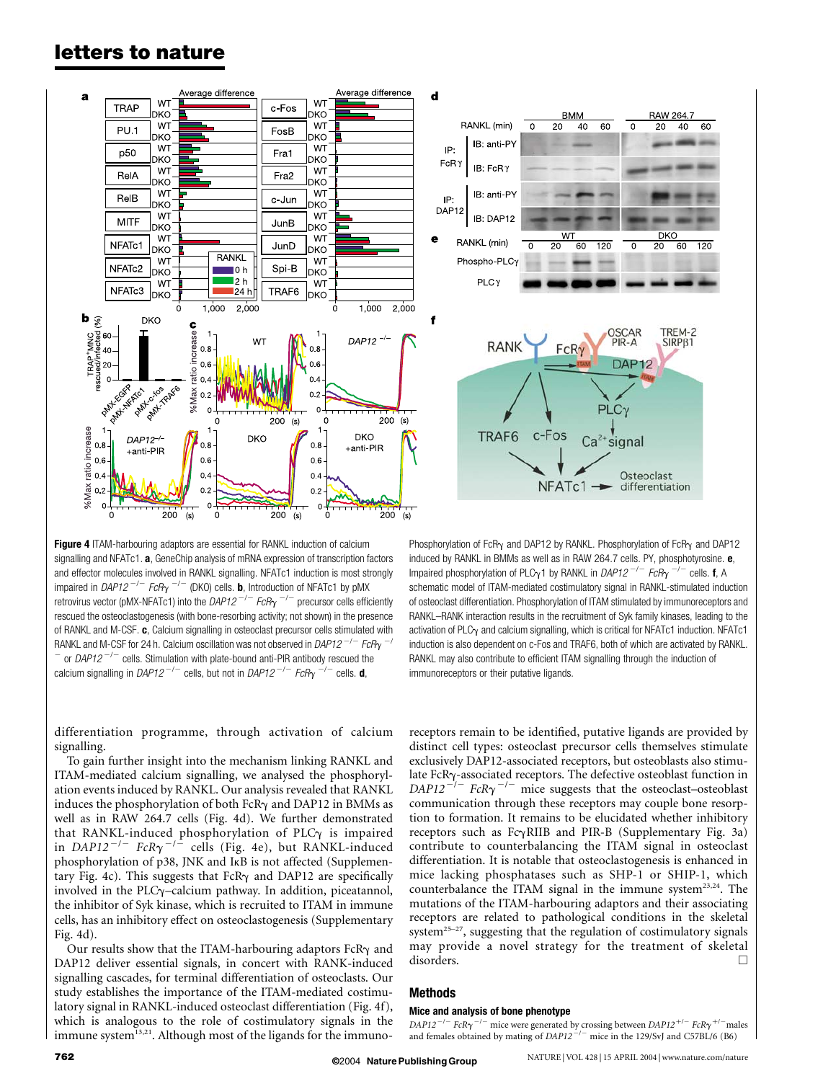



**Figure 4** ITAM-harbouring adaptors are essential for RANKL induction of calcium signalling and NFATc1. a, GeneChip analysis of mRNA expression of transcription factors and effector molecules involved in RANKL signalling. NFATc1 induction is most strongly impaired in DAP12<sup>-/-</sup> FcR<sub>Y</sub> <sup>-/-</sup> (DKO) cells. **b**, Introduction of NFATc1 by pMX retrovirus vector (pMX-NFATc1) into the DAP12<sup>-/-</sup> FcR<sub> $\gamma$ </sub><sup>-/-</sup> precursor cells efficiently rescued the osteoclastogenesis (with bone-resorbing activity; not shown) in the presence of RANKL and M-CSF. c, Calcium signalling in osteoclast precursor cells stimulated with RANKL and M-CSF for 24 h. Calcium oscillation was not observed in DAP12<sup>-/-</sup> FcR<sub>Y</sub>  $^{-/}$  $\overline{a}$  or DAP12<sup>-/-</sup> cells. Stimulation with plate-bound anti-PIR antibody rescued the calcium signalling in DAP12<sup>-/-</sup> cells, but not in DAP12<sup>-/-</sup> FcR<sub>Y</sub><sup>-/-</sup> cells. **d**,

Phosphorylation of FcR $\gamma$  and DAP12 by RANKL. Phosphorylation of FcR $\gamma$  and DAP12 induced by RANKL in BMMs as well as in RAW 264.7 cells. PY, phosphotyrosine. e, Impaired phosphorylation of PLC<sub>Y</sub>1 by RANKL in DAP12<sup>-/-</sup> FcR<sub>Y</sub> <sup>-/-</sup> cells. **f**, A schematic model of ITAM-mediated costimulatory signal in RANKL-stimulated induction of osteoclast differentiation. Phosphorylation of ITAM stimulated by immunoreceptors and RANKL–RANK interaction results in the recruitment of Syk family kinases, leading to the activation of PLC $_Y$  and calcium signalling, which is critical for NFATc1 induction. NFATc1 induction is also dependent on c-Fos and TRAF6, both of which are activated by RANKL. RANKL may also contribute to efficient ITAM signalling through the induction of immunoreceptors or their putative ligands.

differentiation programme, through activation of calcium signalling.

To gain further insight into the mechanism linking RANKL and ITAM-mediated calcium signalling, we analysed the phosphorylation events induced by RANKL. Our analysis revealed that RANKL induces the phosphorylation of both FcR $\gamma$  and DAP12 in BMMs as well as in RAW 264.7 cells (Fig. 4d). We further demonstrated that RANKL-induced phosphorylation of PLC $\gamma$  is impaired in  $DAP12^{-/-}$  FcR $\gamma^{-/-}$  cells (Fig. 4e), but RANKL-induced phosphorylation of p38, JNK and IkB is not affected (Supplementary Fig. 4c). This suggests that  $FcR<sub>Y</sub>$  and DAP12 are specifically involved in the PLC $\gamma$ -calcium pathway. In addition, piceatannol, the inhibitor of Syk kinase, which is recruited to ITAM in immune cells, has an inhibitory effect on osteoclastogenesis (Supplementary Fig. 4d).

Our results show that the ITAM-harbouring adaptors  $FCR\gamma$  and DAP12 deliver essential signals, in concert with RANK-induced signalling cascades, for terminal differentiation of osteoclasts. Our study establishes the importance of the ITAM-mediated costimulatory signal in RANKL-induced osteoclast differentiation (Fig. 4f), which is analogous to the role of costimulatory signals in the immune system $^{13,21}$ . Although most of the ligands for the immunoreceptors remain to be identified, putative ligands are provided by distinct cell types: osteoclast precursor cells themselves stimulate exclusively DAP12-associated receptors, but osteoblasts also stimulate  $FcR<sub>Y</sub>$ -associated receptors. The defective osteoblast function in  $DAPI2^{-/-}$  FcR $\gamma^{-/-}$  mice suggests that the osteoclast–osteoblast communication through these receptors may couple bone resorption to formation. It remains to be elucidated whether inhibitory receptors such as  $Fc\gamma$ RIIB and PIR-B (Supplementary Fig. 3a) contribute to counterbalancing the ITAM signal in osteoclast differentiation. It is notable that osteoclastogenesis is enhanced in mice lacking phosphatases such as SHP-1 or SHIP-1, which counterbalance the ITAM signal in the immune system<sup>23,24</sup>. The mutations of the ITAM-harbouring adaptors and their associating receptors are related to pathological conditions in the skeletal system<sup>25–27</sup>, suggesting that the regulation of costimulatory signals may provide a novel strategy for the treatment of skeletal disorders.

## Methods

## Mice and analysis of bone phenotype

DAP12<sup>-/-</sup> FcR $\gamma$ <sup>-/-</sup> mice were generated by crossing between DAP12<sup>+/-</sup> FcR $\gamma$ <sup>+/-</sup>males and females obtained by mating of  $DAPI2^{-/-}$  mice in the 129/SvJ and C57BL/6 (B6)